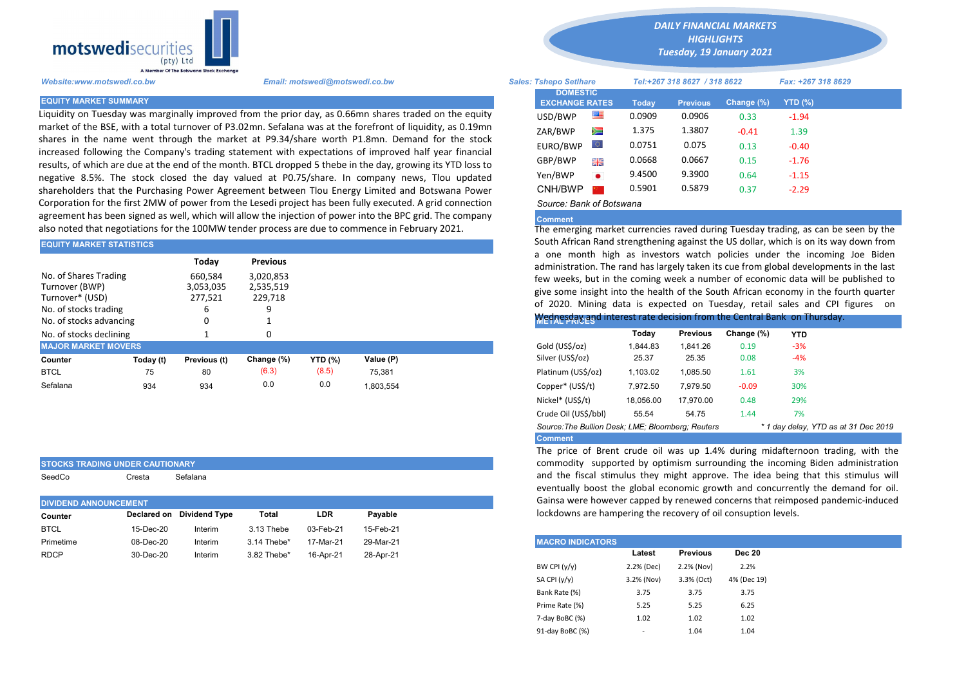

Liquidity on Tuesday was marginally improved from the prior day, as 0.66mn shares traded on the equity market of the BSE, with a total turnover of P3.02mn. Sefalana was at the forefront of liquidity, as 0.19mn shares in the name went through the market at P9.34/share worth P1.8mn. Demand for the stock increased following the Company's trading statement with expectations of improved half year financial results, of which are due at the end of the month. BTCL dropped 5 thebe in the day, growing its YTD loss to negative 8.5%. The stock closed the day valued at P0.75/share. In company news, Tlou updated shareholders that the Purchasing Power Agreement between Tlou Energy Limited and Botswana Power Corporation for the first 2MW of power from the Lesedi project has been fully executed. A grid connection agreement has been signed as well, which will allow the injection of power into the BPC grid. The company also noted that negotiations for the 100MW tender process are due to commence in February 2021.

| <b>I EQUITY MARKET STATISTICS</b>                                                                              |           |                                 |                                   |                |           |  | SOULIT AITICAIT NATIO SLIETIRLITEHING AGAINST LITE OS QUITAT, WHICH IS ON ITS                                                                                                                                                                                                     |          |                 |            |            |  |  |  |
|----------------------------------------------------------------------------------------------------------------|-----------|---------------------------------|-----------------------------------|----------------|-----------|--|-----------------------------------------------------------------------------------------------------------------------------------------------------------------------------------------------------------------------------------------------------------------------------------|----------|-----------------|------------|------------|--|--|--|
|                                                                                                                |           | Todav                           | <b>Previous</b>                   |                |           |  | a one month high as investors watch policies under the incor<br>administration. The rand has largely taken its cue from global develop                                                                                                                                            |          |                 |            |            |  |  |  |
| No. of Shares Trading<br>Turnover (BWP)<br>Turnover* (USD)<br>No. of stocks trading<br>No. of stocks advancing |           | 660.584<br>3,053,035<br>277.521 | 3,020,853<br>2,535,519<br>229,718 |                |           |  | few weeks, but in the coming week a number of economic data will<br>give some insight into the health of the South African economy in the<br>of 2020. Mining data is expected on Tuesday, retail sales and<br>Wednesday and interest rate decision from the Central Bank on Thurs |          |                 |            |            |  |  |  |
| No. of stocks declining                                                                                        |           |                                 |                                   |                |           |  |                                                                                                                                                                                                                                                                                   | Today    | <b>Previous</b> | Change (%) | <b>YTD</b> |  |  |  |
| <b>MAJOR MARKET MOVERS</b>                                                                                     |           |                                 |                                   |                |           |  | Gold (US\$/oz)                                                                                                                                                                                                                                                                    | 1.844.83 | 1.841.26        | 0.19       | $-3%$      |  |  |  |
| Counter                                                                                                        | Today (t) | Previous (t)                    | Change (%)                        | <b>YTD</b> (%) | Value (P) |  | Silver (US\$/oz)                                                                                                                                                                                                                                                                  | 25.37    | 25.35           | 0.08       | $-4%$      |  |  |  |
| <b>BTCL</b>                                                                                                    | 75        | 80                              | (6.3)                             | (8.5)          | 75.381    |  | Platinum (US\$/oz)                                                                                                                                                                                                                                                                | 1,103.02 | 1,085.50        | 1.61       | 3%         |  |  |  |
| Sefalana                                                                                                       | 934       | 934                             | 0.0                               | 0.0            | 1,803,554 |  | Copper* (US\$/t)                                                                                                                                                                                                                                                                  | 7,972.50 | 7.979.50        | $-0.09$    | 30%        |  |  |  |

| Cresta | Sefalana |  |
|--------|----------|--|
|        |          |  |
|        |          |  |
|        |          |  |
|        |          |  |

STOCKS TRADING UNDER CAUTIONARY

| <b>DIVIDEND ANNOUNCEMENT</b>         |           |         |             |           |           |  |  | Gainsa were nowever capped by renewed concerns to      |        |                 |               |  |  |
|--------------------------------------|-----------|---------|-------------|-----------|-----------|--|--|--------------------------------------------------------|--------|-----------------|---------------|--|--|
| Declared on Dividend Type<br>Counter |           |         | Total       | LDR       | Pavable   |  |  | lockdowns are hampering the recovery of oil consuption |        |                 |               |  |  |
| <b>BTCL</b>                          | 15-Dec-20 | Interim | 3.13 Thebe  | 03-Feb-21 | 15-Feb-21 |  |  |                                                        |        |                 |               |  |  |
| Primetime                            | 08-Dec-20 | Interim | 3.14 Thebe* | 17-Mar-21 | 29-Mar-21 |  |  | <b>MACRO INDICATORS</b>                                |        |                 |               |  |  |
| <b>RDCP</b>                          | 30-Dec-20 | Interim | 3.82 Thebe* | 16-Apr-21 | 28-Apr-21 |  |  |                                                        | Latest | <b>Previous</b> | <b>Dec 20</b> |  |  |

*DAILY FINANCIAL MARKETS*

*HIGHLIGHTS Tuesday, 19 January 2021* 

| A Member Of the Borswand Stock Exchange |                                                                                                                                                                                                     |                                          |           |                              |                 |            |                    |  |
|-----------------------------------------|-----------------------------------------------------------------------------------------------------------------------------------------------------------------------------------------------------|------------------------------------------|-----------|------------------------------|-----------------|------------|--------------------|--|
| Website:www.motswedi.co.bw              | Email: motswedi@motswedi.co.bw                                                                                                                                                                      | <b>Sales: Tshepo Setlhare</b>            |           | Tel:+267 318 8627 / 318 8622 |                 |            | Fax: +267 318 8629 |  |
| <b>EQUITY MARKET SUMMARY</b>            |                                                                                                                                                                                                     | <b>DOMESTIC</b><br><b>EXCHANGE RATES</b> |           | Today                        | <b>Previous</b> | Change (%) | <b>YTD (%)</b>     |  |
|                                         | iquidity on Tuesday was marginally improved from the prior day, as 0.66mn shares traded on the equity.                                                                                              | USD/BWP                                  | 等         | 0.0909                       | 0.0906          | 0.33       | $-1.94$            |  |
|                                         | market of the BSE, with a total turnover of P3.02mn. Sefalana was at the forefront of liquidity, as 0.19mn                                                                                          | ZAR/BWP                                  | Ň         | 1.375                        | 1.3807          | $-0.41$    | 1.39               |  |
|                                         | hares in the name went through the market at P9.34/share worth P1.8mn. Demand for the stock<br>ncreased following the Company's trading statement with expectations of improved half year financial | EURO/BWP                                 | LO.       | 0.0751                       | 0.075           | 0.13       | $-0.40$            |  |
|                                         | esults, of which are due at the end of the month. BTCL dropped 5 thebe in the day, growing its YTD loss to                                                                                          | GBP/BWP                                  | 開票        | 0.0668                       | 0.0667          | 0.15       | $-1.76$            |  |
|                                         | egative 8.5%. The stock closed the day valued at P0.75/share. In company news, Tlou updated                                                                                                         | Yen/BWP                                  | $\bullet$ | 9.4500                       | 9.3900          | 0.64       | $-1.15$            |  |
|                                         | hareholders that the Purchasing Power Agreement between Tlou Energy Limited and Botswana Power                                                                                                      | CNH/BWP                                  |           | 0.5901                       | 0.5879          | 0.37       | $-2.29$            |  |
|                                         | Corporation for the first 2MW of power from the Lesedi project has been fully executed. A grid connection                                                                                           | Source: Bank of Botswana                 |           |                              |                 |            |                    |  |

## **Comment**

The emerging market currencies raved during Tuesday trading, as can be seen by the South African Rand strengthening against the US dollar, which is on its way down from a one month high as investors watch policies under the incoming Joe Biden administration. The rand has largely taken its cue from global developments in the last few weeks, but in the coming week a number of economic data will be published to give some insight into the health of the South African economy in the fourth quarter of 2020. Mining data is expected on Tuesday, retail sales and CPI figures on

## Wednesday and interest rate decision from the Central Bank on Thursday.

|                                                   | Today     | <b>Previous</b> | Change (%) | <b>YTD</b>                           |  |
|---------------------------------------------------|-----------|-----------------|------------|--------------------------------------|--|
| Gold (US\$/oz)                                    | 1.844.83  | 1.841.26        | 0.19       | $-3%$                                |  |
| Silver (US\$/oz)                                  | 25.37     | 25.35           | 0.08       | $-4%$                                |  |
| Platinum (US\$/oz)                                | 1.103.02  | 1.085.50        | 1.61       | 3%                                   |  |
| Copper* (US\$/t)                                  | 7.972.50  | 7.979.50        | $-0.09$    | 30%                                  |  |
| Nickel* (US\$/t)                                  | 18.056.00 | 17.970.00       | 0.48       | 29%                                  |  |
| Crude Oil (US\$/bbl)                              | 55.54     | 54.75           | 1.44       | 7%                                   |  |
| Source: The Bullion Desk: LME; Bloomberg: Reuters |           |                 |            | * 1 day delay, YTD as at 31 Dec 2019 |  |
| <b>Comment</b>                                    |           |                 |            |                                      |  |

The price of Brent crude oil was up 1.4% during midafternoon trading, with the commodity supported by optimism surrounding the incoming Biden administration and the fiscal stimulus they might approve. The idea being that this stimulus will eventually boost the global economic growth and concurrently the demand for oil. Gainsa were however capped by renewed concerns that reimposed pandemic-induced lockdowns are hampering the recovery of oil consuption levels.

| <b>MACRO INDICATORS</b> |            |                 |               |
|-------------------------|------------|-----------------|---------------|
|                         | Latest     | <b>Previous</b> | <b>Dec 20</b> |
| BW CPI $(y/y)$          | 2.2% (Dec) | 2.2% (Nov)      | 2.2%          |
| SA CPI (y/y)            | 3.2% (Nov) | 3.3% (Oct)      | 4% (Dec 19)   |
| Bank Rate (%)           | 3.75       | 3.75            | 3.75          |
| Prime Rate (%)          | 5.25       | 5.25            | 6.25          |
| 7-day BoBC (%)          | 1.02       | 1.02            | 1.02          |
| 91-day BoBC (%)         | -          | 1.04            | 1.04          |